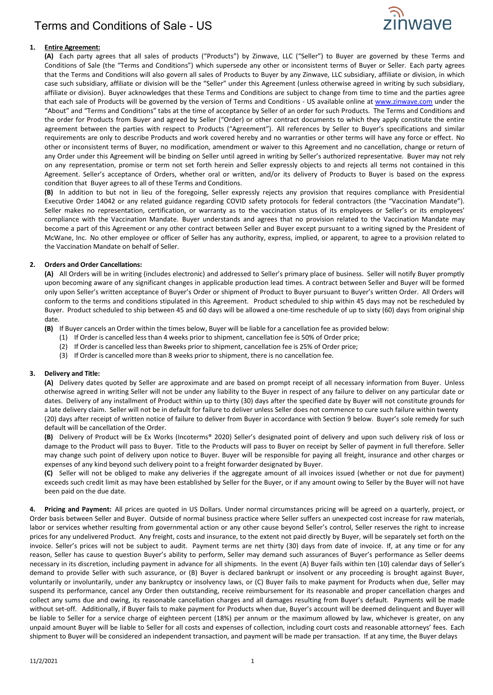

### **1. Entire Agreement:**

**(A)** Each party agrees that all sales of products ("Products") by Zinwave, LLC ("Seller") to Buyer are governed by these Terms and Conditions of Sale (the "Terms and Conditions") which supersede any other or inconsistent terms of Buyer or Seller. Each party agrees that the Terms and Conditions will also govern all sales of Products to Buyer by any Zinwave, LLC subsidiary, affiliate or division, in which case such subsidiary, affiliate or division will be the "Seller" under this Agreement (unless otherwise agreed in writing by such subsidiary, affiliate or division). Buyer acknowledges that these Terms and Conditions are subject to change from time to time and the parties agree that each sale of Products will be governed by the version of Terms and Conditions - US available online at [www.zinwave.com](http://www.zinwave.com/) under the "About" and "Terms and Conditions" tabs at the time of acceptance by Seller of an order for such Products. The Terms and Conditions and the order for Products from Buyer and agreed by Seller ("Order) or other contract documents to which they apply constitute the entire agreement between the parties with respect to Products ("Agreement"). All references by Seller to Buyer's specifications and similar requirements are only to describe Products and work covered hereby and no warranties or other terms will have any force or effect. No other or inconsistent terms of Buyer, no modification, amendment or waiver to this Agreement and no cancellation, change or return of any Order under this Agreement will be binding on Seller until agreed in writing by Seller's authorized representative. Buyer may not rely on any representation, promise or term not set forth herein and Seller expressly objects to and rejects all terms not contained in this Agreement. Seller's acceptance of Orders, whether oral or written, and/or its delivery of Products to Buyer is based on the express condition that Buyer agrees to all of these Terms and Conditions.

**(B)** In addition to but not in lieu of the foregoing, Seller expressly rejects any provision that requires compliance with Presidential Executive Order 14042 or any related guidance regarding COVID safety protocols for federal contractors (the "Vaccination Mandate"). Seller makes no representation, certification, or warranty as to the vaccination status of its employees or Seller's or its employees' compliance with the Vaccination Mandate. Buyer understands and agrees that no provision related to the Vaccination Mandate may become a part of this Agreement or any other contract between Seller and Buyer except pursuant to a writing signed by the President of McWane, Inc. No other employee or officer of Seller has any authority, express, implied, or apparent, to agree to a provision related to the Vaccination Mandate on behalf of Seller.

#### **2. Orders and Order Cancellations:**

**(A)** All Orders will be in writing (includes electronic) and addressed to Seller's primary place of business. Seller will notify Buyer promptly upon becoming aware of any significant changes in applicable production lead times. A contract between Seller and Buyer will be formed only upon Seller's written acceptance of Buyer's Order or shipment of Product to Buyer pursuant to Buyer's written Order. All Orders will conform to the terms and conditions stipulated in this Agreement. Product scheduled to ship within 45 days may not be rescheduled by Buyer. Product scheduled to ship between 45 and 60 days will be allowed a one-time reschedule of up to sixty (60) days from original ship date.

**(B)** If Buyer cancels an Order within the times below, Buyer will be liable for a cancellation fee as provided below:

- (1) If Order is cancelled less than 4 weeks prior to shipment, cancellation fee is 50% of Order price;
- (2) If Order is cancelled less than 8weeks prior to shipment, cancellation fee is 25% of Order price;
- (3) If Order is cancelled more than 8 weeks prior to shipment, there is no cancellation fee.

#### **3. Delivery and Title:**

**(A)** Delivery dates quoted by Seller are approximate and are based on prompt receipt of all necessary information from Buyer. Unless otherwise agreed in writing Seller will not be under any liability to the Buyer in respect of any failure to deliver on any particular date or dates. Delivery of any installment of Product within up to thirty (30) days after the specified date by Buyer will not constitute grounds for a late delivery claim. Seller will not be in default for failure to deliver unless Seller does not commence to cure such failure within twenty (20) days after receipt of written notice of failure to deliver from Buyer in accordance with Section 9 below. Buyer's sole remedy for such default will be cancellation of the Order.

**(B)** Delivery of Product will be Ex Works (Incoterms® 2020) Seller's designated point of delivery and upon such delivery risk of loss or damage to the Product will pass to Buyer. Title to the Products will pass to Buyer on receipt by Seller of payment in full therefore. Seller may change such point of delivery upon notice to Buyer. Buyer will be responsible for paying all freight, insurance and other charges or expenses of any kind beyond such delivery point to a freight forwarder designated by Buyer.

**(C)** Seller will not be obliged to make any deliveries if the aggregate amount of all invoices issued (whether or not due for payment) exceeds such credit limit as may have been established by Seller for the Buyer, or if any amount owing to Seller by the Buyer will not have been paid on the due date.

**4. Pricing and Payment:** All prices are quoted in US Dollars. Under normal circumstances pricing will be agreed on a quarterly, project, or Order basis between Seller and Buyer. Outside of normal business practice where Seller suffers an unexpected cost increase for raw materials, labor or services whether resulting from governmental action or any other cause beyond Seller's control, Seller reserves the right to increase prices for any undelivered Product. Any freight, costs and insurance, to the extent not paid directly by Buyer, will be separately set forth on the invoice. Seller's prices will not be subject to audit. Payment terms are net thirty (30) days from date of invoice. If, at any time or for any reason, Seller has cause to question Buyer's ability to perform, Seller may demand such assurances of Buyer's performance as Seller deems necessary in its discretion, including payment in advance for all shipments. In the event (A) Buyer fails within ten (10) calendar days of Seller's demand to provide Seller with such assurance, or (B) Buyer is declared bankrupt or insolvent or any proceeding is brought against Buyer, voluntarily or involuntarily, under any bankruptcy or insolvency laws, or (C) Buyer fails to make payment for Products when due, Seller may suspend its performance, cancel any Order then outstanding, receive reimbursement for its reasonable and proper cancellation charges and collect any sums due and owing, its reasonable cancellation charges and all damages resulting from Buyer's default. Payments will be made without set-off. Additionally, if Buyer fails to make payment for Products when due, Buyer's account will be deemed delinquent and Buyer will be liable to Seller for a service charge of eighteen percent (18%) per annum or the maximum allowed by law, whichever is greater, on any unpaid amount Buyer will be liable to Seller for all costs and expenses of collection, including court costs and reasonable attorneys' fees. Each shipment to Buyer will be considered an independent transaction, and payment will be made per transaction. If at any time, the Buyer delays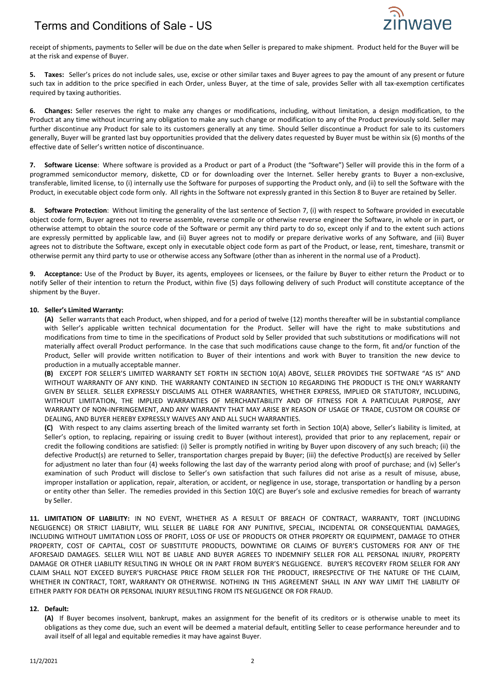## Terms and Conditions of Sale - US



receipt of shipments, payments to Seller will be due on the date when Seller is prepared to make shipment. Product held for the Buyer will be at the risk and expense of Buyer.

**5. Taxes:** Seller's prices do not include sales, use, excise or other similar taxes and Buyer agrees to pay the amount of any present or future such tax in addition to the price specified in each Order, unless Buyer, at the time of sale, provides Seller with all tax-exemption certificates required by taxing authorities.

**6. Changes:** Seller reserves the right to make any changes or modifications, including, without limitation, a design modification, to the Product at any time without incurring any obligation to make any such change or modification to any of the Product previously sold. Seller may further discontinue any Product for sale to its customers generally at any time. Should Seller discontinue a Product for sale to its customers generally, Buyer will be granted last buy opportunities provided that the delivery dates requested by Buyer must be within six (6) months of the effective date of Seller's written notice of discontinuance.

**7. Software License**: Where software is provided as a Product or part of a Product (the "Software") Seller will provide this in the form of a programmed semiconductor memory, diskette, CD or for downloading over the Internet. Seller hereby grants to Buyer a non-exclusive, transferable, limited license, to (i) internally use the Software for purposes of supporting the Product only, and (ii) to sell the Software with the Product, in executable object code form only. All rights in the Software not expressly granted in this Section 8 to Buyer are retained by Seller.

**8. Software Protection**: Without limiting the generality of the last sentence of Section 7, (i) with respect to Software provided in executable object code form, Buyer agrees not to reverse assemble, reverse compile or otherwise reverse engineer the Software, in whole or in part, or otherwise attempt to obtain the source code of the Software or permit any third party to do so, except only if and to the extent such actions are expressly permitted by applicable law, and (ii) Buyer agrees not to modify or prepare derivative works of any Software, and (iii) Buyer agrees not to distribute the Software, except only in executable object code form as part of the Product, or lease, rent, timeshare, transmit or otherwise permit any third party to use or otherwise access any Software (other than as inherent in the normal use of a Product).

**9. Acceptance:** Use of the Product by Buyer, its agents, employees or licensees, or the failure by Buyer to either return the Product or to notify Seller of their intention to return the Product, within five (5) days following delivery of such Product will constitute acceptance of the shipment by the Buyer.

#### **10. Seller's Limited Warranty:**

**(A)** Seller warrants that each Product, when shipped, and for a period of twelve (12) months thereafter will be in substantial compliance with Seller's applicable written technical documentation for the Product. Seller will have the right to make substitutions and modifications from time to time in the specifications of Product sold by Seller provided that such substitutions or modifications will not materially affect overall Product performance. In the case that such modifications cause change to the form, fit and/or function of the Product, Seller will provide written notification to Buyer of their intentions and work with Buyer to transition the new device to production in a mutually acceptable manner.

**(B)** EXCEPT FOR SELLER'S LIMITED WARRANTY SET FORTH IN SECTION 10(A) ABOVE, SELLER PROVIDES THE SOFTWARE "AS IS" AND WITHOUT WARRANTY OF ANY KIND. THE WARRANTY CONTAINED IN SECTION 10 REGARDING THE PRODUCT IS THE ONLY WARRANTY GIVEN BY SELLER. SELLER EXPRESSLY DISCLAIMS ALL OTHER WARRANTIES, WHETHER EXPRESS, IMPLIED OR STATUTORY, INCLUDING, WITHOUT LIMITATION, THE IMPLIED WARRANTIES OF MERCHANTABILITY AND OF FITNESS FOR A PARTICULAR PURPOSE, ANY WARRANTY OF NON-INFRINGEMENT, AND ANY WARRANTY THAT MAY ARISE BY REASON OF USAGE OF TRADE, CUSTOM OR COURSE OF DEALING, AND BUYER HEREBY EXPRESSLY WAIVES ANY AND ALL SUCH WARRANTIES.

**(C)** With respect to any claims asserting breach of the limited warranty set forth in Section 10(A) above, Seller's liability is limited, at Seller's option, to replacing, repairing or issuing credit to Buyer (without interest), provided that prior to any replacement, repair or credit the following conditions are satisfied: (i) Seller is promptly notified in writing by Buyer upon discovery of any such breach; (ii) the defective Product(s) are returned to Seller, transportation charges prepaid by Buyer; (iii) the defective Product(s) are received by Seller for adjustment no later than four (4) weeks following the last day of the warranty period along with proof of purchase; and (iv) Seller's examination of such Product will disclose to Seller's own satisfaction that such failures did not arise as a result of misuse, abuse, improper installation or application, repair, alteration, or accident, or negligence in use, storage, transportation or handling by a person or entity other than Seller. The remedies provided in this Section 10(C) are Buyer's sole and exclusive remedies for breach of warranty by Seller.

**11. LIMITATION OF LIABILITY:** IN NO EVENT, WHETHER AS A RESULT OF BREACH OF CONTRACT, WARRANTY, TORT (INCLUDING NEGLIGENCE) OR STRICT LIABILITY, WILL SELLER BE LIABLE FOR ANY PUNITIVE, SPECIAL, INCIDENTAL OR CONSEQUENTIAL DAMAGES, INCLUDING WITHOUT LIMITATION LOSS OF PROFIT, LOSS OF USE OF PRODUCTS OR OTHER PROPERTY OR EQUIPMENT, DAMAGE TO OTHER PROPERTY, COST OF CAPITAL, COST OF SUBSTITUTE PRODUCTS, DOWNTIME OR CLAIMS OF BUYER'S CUSTOMERS FOR ANY OF THE AFORESAID DAMAGES. SELLER WILL NOT BE LIABLE AND BUYER AGREES TO INDEMNIFY SELLER FOR ALL PERSONAL INJURY, PROPERTY DAMAGE OR OTHER LIABILITY RESULTING IN WHOLE OR IN PART FROM BUYER'S NEGLIGENCE. BUYER'S RECOVERY FROM SELLER FOR ANY CLAIM SHALL NOT EXCEED BUYER'S PURCHASE PRICE FROM SELLER FOR THE PRODUCT, IRRESPECTIVE OF THE NATURE OF THE CLAIM, WHETHER IN CONTRACT, TORT, WARRANTY OR OTHERWISE. NOTHING IN THIS AGREEMENT SHALL IN ANY WAY LIMIT THE LIABILITY OF EITHER PARTY FOR DEATH OR PERSONAL INJURY RESULTING FROM ITS NEGLIGENCE OR FOR FRAUD.

#### **12. Default:**

**(A)** If Buyer becomes insolvent, bankrupt, makes an assignment for the benefit of its creditors or is otherwise unable to meet its obligations as they come due, such an event will be deemed a material default, entitling Seller to cease performance hereunder and to avail itself of all legal and equitable remedies it may have against Buyer.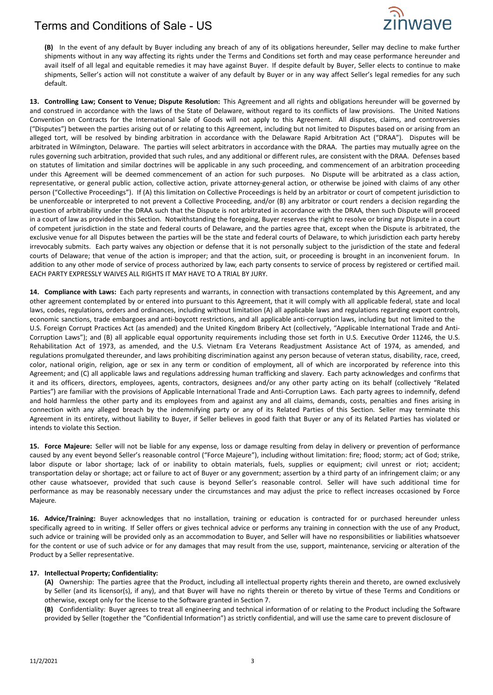### Terms and Conditions of Sale - US



**(B)** In the event of any default by Buyer including any breach of any of its obligations hereunder, Seller may decline to make further shipments without in any way affecting its rights under the Terms and Conditions set forth and may cease performance hereunder and avail itself of all legal and equitable remedies it may have against Buyer. If despite default by Buyer, Seller elects to continue to make shipments, Seller's action will not constitute a waiver of any default by Buyer or in any way affect Seller's legal remedies for any such default.

**13. Controlling Law; Consent to Venue; Dispute Resolution:** This Agreement and all rights and obligations hereunder will be governed by and construed in accordance with the laws of the State of Delaware, without regard to its conflicts of law provisions. The United Nations Convention on Contracts for the International Sale of Goods will not apply to this Agreement. All disputes, claims, and controversies ("Disputes") between the parties arising out of or relating to this Agreement, including but not limited to Disputes based on or arising from an alleged tort, will be resolved by binding arbitration in accordance with the Delaware Rapid Arbitration Act ("DRAA"). Disputes will be arbitrated in Wilmington, Delaware. The parties will select arbitrators in accordance with the DRAA. The parties may mutually agree on the rules governing such arbitration, provided that such rules, and any additional or different rules, are consistent with the DRAA. Defenses based on statutes of limitation and similar doctrines will be applicable in any such proceeding, and commencement of an arbitration proceeding under this Agreement will be deemed commencement of an action for such purposes. No Dispute will be arbitrated as a class action, representative, or general public action, collective action, private attorney-general action, or otherwise be joined with claims of any other person ("Collective Proceedings"). If (A) this limitation on Collective Proceedings is held by an arbitrator or court of competent jurisdiction to be unenforceable or interpreted to not prevent a Collective Proceeding, and/or (B) any arbitrator or court renders a decision regarding the question of arbitrability under the DRAA such that the Dispute is not arbitrated in accordance with the DRAA, then such Dispute will proceed in a court of law as provided in this Section. Notwithstanding the foregoing, Buyer reserves the right to resolve or bring any Dispute in a court of competent jurisdiction in the state and federal courts of Delaware, and the parties agree that, except when the Dispute is arbitrated, the exclusive venue for all Disputes between the parties will be the state and federal courts of Delaware, to which jurisdiction each party hereby irrevocably submits. Each party waives any objection or defense that it is not personally subject to the jurisdiction of the state and federal courts of Delaware; that venue of the action is improper; and that the action, suit, or proceeding is brought in an inconvenient forum. In addition to any other mode of service of process authorized by law, each party consents to service of process by registered or certified mail. EACH PARTY EXPRESSLY WAIVES ALL RIGHTS IT MAY HAVE TO A TRIAL BY JURY.

**14. Compliance with Laws:** Each party represents and warrants, in connection with transactions contemplated by this Agreement, and any other agreement contemplated by or entered into pursuant to this Agreement, that it will comply with all applicable federal, state and local laws, codes, regulations, orders and ordinances, including without limitation (A) all applicable laws and regulations regarding export controls, economic sanctions, trade embargoes and anti-boycott restrictions, and all applicable anti-corruption laws, including but not limited to the U.S. Foreign Corrupt Practices Act (as amended) and the United Kingdom Bribery Act (collectively, "Applicable International Trade and Anti-Corruption Laws"); and (B) all applicable equal opportunity requirements including those set forth in U.S. Executive Order 11246, the U.S. Rehabilitation Act of 1973, as amended, and the U.S. Vietnam Era Veterans Readjustment Assistance Act of 1974, as amended, and regulations promulgated thereunder, and laws prohibiting discrimination against any person because of veteran status, disability, race, creed, color, national origin, religion, age or sex in any term or condition of employment, all of which are incorporated by reference into this Agreement; and (C) all applicable laws and regulations addressing human trafficking and slavery. Each party acknowledges and confirms that it and its officers, directors, employees, agents, contractors, designees and/or any other party acting on its behalf (collectively "Related Parties") are familiar with the provisions of Applicable International Trade and Anti-Corruption Laws. Each party agrees to indemnify, defend and hold harmless the other party and its employees from and against any and all claims, demands, costs, penalties and fines arising in connection with any alleged breach by the indemnifying party or any of its Related Parties of this Section. Seller may terminate this Agreement in its entirety, without liability to Buyer, if Seller believes in good faith that Buyer or any of its Related Parties has violated or intends to violate this Section.

**15. Force Majeure:** Seller will not be liable for any expense, loss or damage resulting from delay in delivery or prevention of performance caused by any event beyond Seller's reasonable control ("Force Majeure"), including without limitation: fire; flood; storm; act of God; strike, labor dispute or labor shortage; lack of or inability to obtain materials, fuels, supplies or equipment; civil unrest or riot; accident; transportation delay or shortage; act or failure to act of Buyer or any government; assertion by a third party of an infringement claim; or any other cause whatsoever, provided that such cause is beyond Seller's reasonable control. Seller will have such additional time for performance as may be reasonably necessary under the circumstances and may adjust the price to reflect increases occasioned by Force Majeure.

**16. Advice/Training:** Buyer acknowledges that no installation, training or education is contracted for or purchased hereunder unless specifically agreed to in writing. If Seller offers or gives technical advice or performs any training in connection with the use of any Product, such advice or training will be provided only as an accommodation to Buyer, and Seller will have no responsibilities or liabilities whatsoever for the content or use of such advice or for any damages that may result from the use, support, maintenance, servicing or alteration of the Product by a Seller representative.

#### **17. Intellectual Property; Confidentiality:**

**(A)** Ownership: The parties agree that the Product, including all intellectual property rights therein and thereto, are owned exclusively by Seller (and its licensor(s), if any), and that Buyer will have no rights therein or thereto by virtue of these Terms and Conditions or otherwise, except only for the license to the Software granted in Section 7.

**(B)** Confidentiality: Buyer agrees to treat all engineering and technical information of or relating to the Product including the Software provided by Seller (together the "Confidential Information") as strictly confidential, and will use the same care to prevent disclosure of